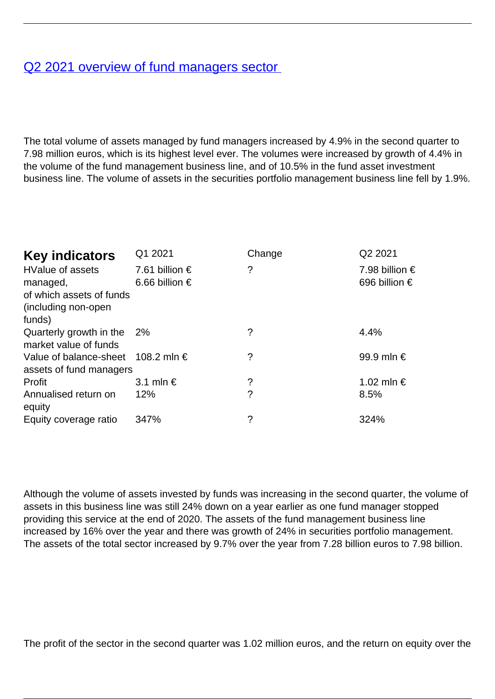## [Q2 2021 overview of fund managers sector](/en/publications/q2-2021-overview-fund-managers-sector)

The total volume of assets managed by fund managers increased by 4.9% in the second quarter to 7.98 million euros, which is its highest level ever. The volumes were increased by growth of 4.4% in the volume of the fund management business line, and of 10.5% in the fund asset investment business line. The volume of assets in the securities portfolio management business line fell by 1.9%.

| <b>Key indicators</b>                                                                            | Q1 2021                                   | Change | Q2 2021                         |
|--------------------------------------------------------------------------------------------------|-------------------------------------------|--------|---------------------------------|
| <b>HValue of assets</b><br>managed,<br>of which assets of funds<br>(including non-open<br>funds) | 7.61 billion $\epsilon$<br>6.66 billion € | ?      | 7.98 billion €<br>696 billion € |
| Quarterly growth in the<br>market value of funds                                                 | - 2%                                      | ?      | 4.4%                            |
| Value of balance-sheet 108.2 mln $\epsilon$<br>assets of fund managers                           |                                           | ?      | 99.9 mln €                      |
| Profit                                                                                           | 3.1 mln $\in$                             | ?      | 1.02 mln €                      |
| Annualised return on<br>equity                                                                   | 12%                                       | ?      | 8.5%                            |
| Equity coverage ratio                                                                            | 347%                                      | ?      | 324%                            |

Although the volume of assets invested by funds was increasing in the second quarter, the volume of assets in this business line was still 24% down on a year earlier as one fund manager stopped providing this service at the end of 2020. The assets of the fund management business line increased by 16% over the year and there was growth of 24% in securities portfolio management. The assets of the total sector increased by 9.7% over the year from 7.28 billion euros to 7.98 billion.

The profit of the sector in the second quarter was 1.02 million euros, and the return on equity over the